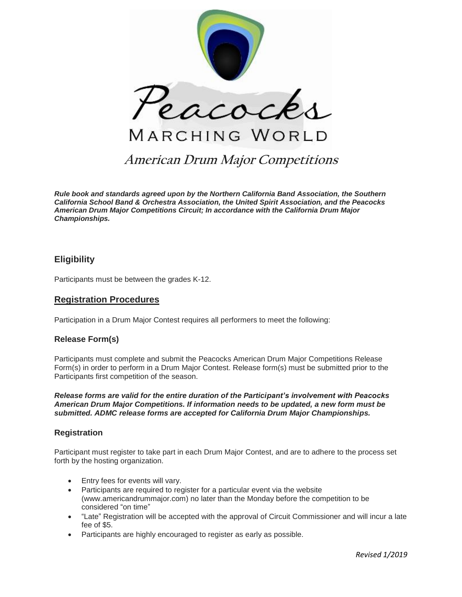

# **American Drum Major Competitions**

*Rule book and standards agreed upon by the Northern California Band Association, the Southern California School Band & Orchestra Association, the United Spirit Association, and the Peacocks American Drum Major Competitions Circuit; In accordance with the California Drum Major Championships.*

# **Eligibility**

Participants must be between the grades K-12.

# **Registration Procedures**

Participation in a Drum Major Contest requires all performers to meet the following:

# **Release Form(s)**

Participants must complete and submit the Peacocks American Drum Major Competitions Release Form(s) in order to perform in a Drum Major Contest. Release form(s) must be submitted prior to the Participants first competition of the season.

*Release forms are valid for the entire duration of the Participant's involvement with Peacocks American Drum Major Competitions. If information needs to be updated, a new form must be submitted. ADMC release forms are accepted for California Drum Major Championships.*

# **Registration**

Participant must register to take part in each Drum Major Contest, and are to adhere to the process set forth by the hosting organization.

- Entry fees for events will vary.
- Participants are required to register for a particular event via the website (www.americandrummajor.com) no later than the Monday before the competition to be considered "on time"
- "Late" Registration will be accepted with the approval of Circuit Commissioner and will incur a late fee of \$5.
- Participants are highly encouraged to register as early as possible.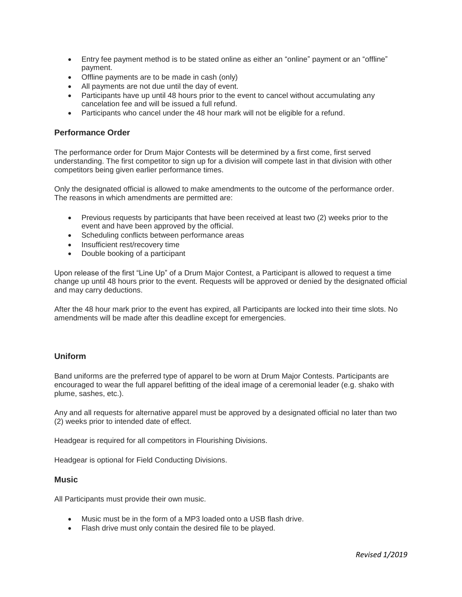- Entry fee payment method is to be stated online as either an "online" payment or an "offline" payment.
- Offline payments are to be made in cash (only)
- All payments are not due until the day of event.
- Participants have up until 48 hours prior to the event to cancel without accumulating any cancelation fee and will be issued a full refund.
- Participants who cancel under the 48 hour mark will not be eligible for a refund.

# **Performance Order**

The performance order for Drum Major Contests will be determined by a first come, first served understanding. The first competitor to sign up for a division will compete last in that division with other competitors being given earlier performance times.

Only the designated official is allowed to make amendments to the outcome of the performance order. The reasons in which amendments are permitted are:

- Previous requests by participants that have been received at least two (2) weeks prior to the event and have been approved by the official.
- Scheduling conflicts between performance areas
- Insufficient rest/recovery time
- Double booking of a participant

Upon release of the first "Line Up" of a Drum Major Contest, a Participant is allowed to request a time change up until 48 hours prior to the event. Requests will be approved or denied by the designated official and may carry deductions.

After the 48 hour mark prior to the event has expired, all Participants are locked into their time slots. No amendments will be made after this deadline except for emergencies.

# **Uniform**

Band uniforms are the preferred type of apparel to be worn at Drum Major Contests. Participants are encouraged to wear the full apparel befitting of the ideal image of a ceremonial leader (e.g. shako with plume, sashes, etc.).

Any and all requests for alternative apparel must be approved by a designated official no later than two (2) weeks prior to intended date of effect.

Headgear is required for all competitors in Flourishing Divisions.

Headgear is optional for Field Conducting Divisions.

### **Music**

All Participants must provide their own music.

- Music must be in the form of a MP3 loaded onto a USB flash drive.
- Flash drive must only contain the desired file to be played.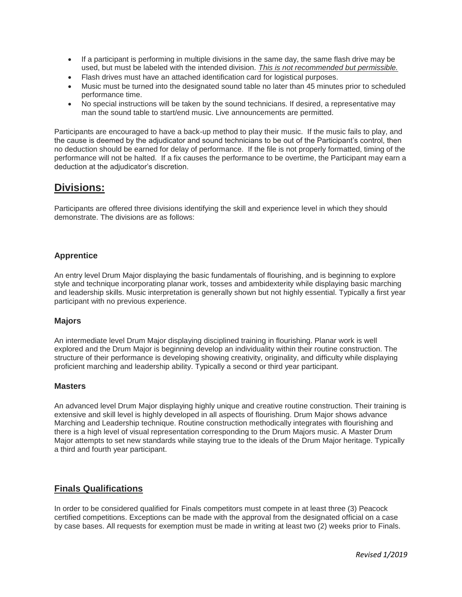- If a participant is performing in multiple divisions in the same day, the same flash drive may be used, but must be labeled with the intended division. *This is not recommended but permissible.*
- Flash drives must have an attached identification card for logistical purposes.
- Music must be turned into the designated sound table no later than 45 minutes prior to scheduled performance time.
- No special instructions will be taken by the sound technicians. If desired, a representative may man the sound table to start/end music. Live announcements are permitted.

Participants are encouraged to have a back-up method to play their music. If the music fails to play, and the cause is deemed by the adjudicator and sound technicians to be out of the Participant's control, then no deduction should be earned for delay of performance. If the file is not properly formatted, timing of the performance will not be halted. If a fix causes the performance to be overtime, the Participant may earn a deduction at the adjudicator's discretion.

# **Divisions:**

Participants are offered three divisions identifying the skill and experience level in which they should demonstrate. The divisions are as follows:

# **Apprentice**

An entry level Drum Major displaying the basic fundamentals of flourishing, and is beginning to explore style and technique incorporating planar work, tosses and ambidexterity while displaying basic marching and leadership skills. Music interpretation is generally shown but not highly essential. Typically a first year participant with no previous experience.

# **Majors**

An intermediate level Drum Major displaying disciplined training in flourishing. Planar work is well explored and the Drum Major is beginning develop an individuality within their routine construction. The structure of their performance is developing showing creativity, originality, and difficulty while displaying proficient marching and leadership ability. Typically a second or third year participant.

# **Masters**

An advanced level Drum Major displaying highly unique and creative routine construction. Their training is extensive and skill level is highly developed in all aspects of flourishing. Drum Major shows advance Marching and Leadership technique. Routine construction methodically integrates with flourishing and there is a high level of visual representation corresponding to the Drum Majors music. A Master Drum Major attempts to set new standards while staying true to the ideals of the Drum Major heritage. Typically a third and fourth year participant.

# **Finals Qualifications**

In order to be considered qualified for Finals competitors must compete in at least three (3) Peacock certified competitions. Exceptions can be made with the approval from the designated official on a case by case bases. All requests for exemption must be made in writing at least two (2) weeks prior to Finals.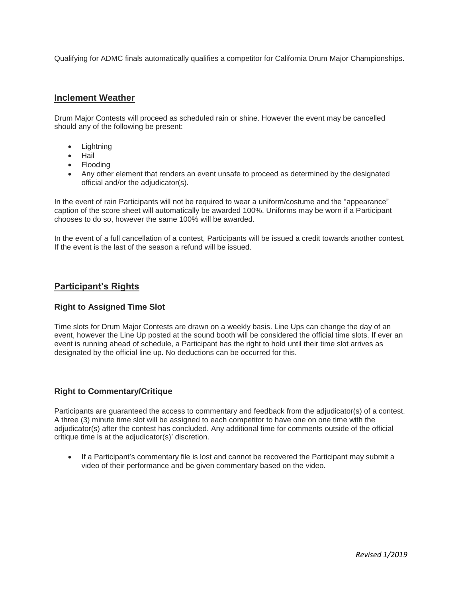Qualifying for ADMC finals automatically qualifies a competitor for California Drum Major Championships.

# **Inclement Weather**

Drum Major Contests will proceed as scheduled rain or shine. However the event may be cancelled should any of the following be present:

- Lightning
- Hail
- Flooding
- Any other element that renders an event unsafe to proceed as determined by the designated official and/or the adjudicator(s).

In the event of rain Participants will not be required to wear a uniform/costume and the "appearance" caption of the score sheet will automatically be awarded 100%. Uniforms may be worn if a Participant chooses to do so, however the same 100% will be awarded.

In the event of a full cancellation of a contest, Participants will be issued a credit towards another contest. If the event is the last of the season a refund will be issued.

# **Participant's Rights**

# **Right to Assigned Time Slot**

Time slots for Drum Major Contests are drawn on a weekly basis. Line Ups can change the day of an event, however the Line Up posted at the sound booth will be considered the official time slots. If ever an event is running ahead of schedule, a Participant has the right to hold until their time slot arrives as designated by the official line up. No deductions can be occurred for this.

# **Right to Commentary/Critique**

Participants are guaranteed the access to commentary and feedback from the adjudicator(s) of a contest. A three (3) minute time slot will be assigned to each competitor to have one on one time with the adjudicator(s) after the contest has concluded. Any additional time for comments outside of the official critique time is at the adjudicator(s)' discretion.

• If a Participant's commentary file is lost and cannot be recovered the Participant may submit a video of their performance and be given commentary based on the video.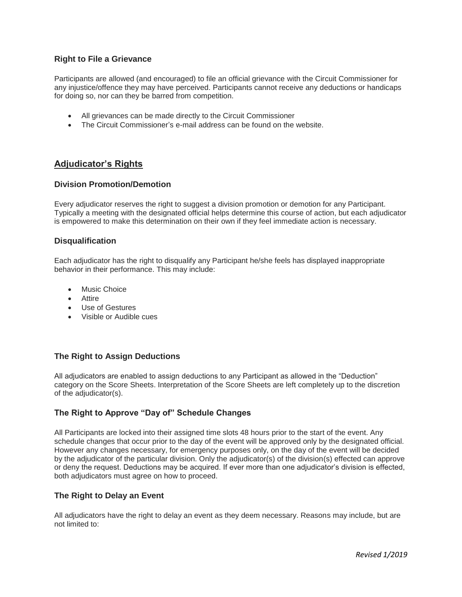# **Right to File a Grievance**

Participants are allowed (and encouraged) to file an official grievance with the Circuit Commissioner for any injustice/offence they may have perceived. Participants cannot receive any deductions or handicaps for doing so, nor can they be barred from competition.

- All grievances can be made directly to the Circuit Commissioner
- The Circuit Commissioner's e-mail address can be found on the website.

# **Adjudicator's Rights**

### **Division Promotion/Demotion**

Every adjudicator reserves the right to suggest a division promotion or demotion for any Participant. Typically a meeting with the designated official helps determine this course of action, but each adjudicator is empowered to make this determination on their own if they feel immediate action is necessary.

### **Disqualification**

Each adjudicator has the right to disqualify any Participant he/she feels has displayed inappropriate behavior in their performance. This may include:

- Music Choice
- Attire
- Use of Gestures
- Visible or Audible cues

# **The Right to Assign Deductions**

All adjudicators are enabled to assign deductions to any Participant as allowed in the "Deduction" category on the Score Sheets. Interpretation of the Score Sheets are left completely up to the discretion of the adjudicator(s).

# **The Right to Approve "Day of" Schedule Changes**

All Participants are locked into their assigned time slots 48 hours prior to the start of the event. Any schedule changes that occur prior to the day of the event will be approved only by the designated official. However any changes necessary, for emergency purposes only, on the day of the event will be decided by the adjudicator of the particular division. Only the adjudicator(s) of the division(s) effected can approve or deny the request. Deductions may be acquired. If ever more than one adjudicator's division is effected, both adjudicators must agree on how to proceed.

# **The Right to Delay an Event**

All adjudicators have the right to delay an event as they deem necessary. Reasons may include, but are not limited to: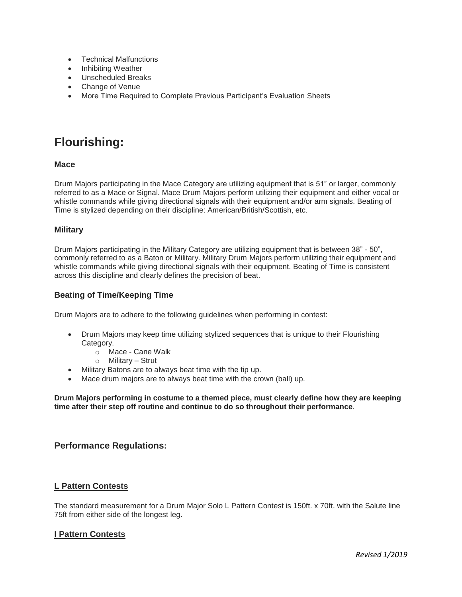- Technical Malfunctions
- Inhibiting Weather
- Unscheduled Breaks
- Change of Venue
- More Time Required to Complete Previous Participant's Evaluation Sheets

# **Flourishing:**

# **Mace**

Drum Majors participating in the Mace Category are utilizing equipment that is 51" or larger, commonly referred to as a Mace or Signal. Mace Drum Majors perform utilizing their equipment and either vocal or whistle commands while giving directional signals with their equipment and/or arm signals. Beating of Time is stylized depending on their discipline: American/British/Scottish, etc.

# **Military**

Drum Majors participating in the Military Category are utilizing equipment that is between 38" - 50", commonly referred to as a Baton or Military. Military Drum Majors perform utilizing their equipment and whistle commands while giving directional signals with their equipment. Beating of Time is consistent across this discipline and clearly defines the precision of beat.

# **Beating of Time/Keeping Time**

Drum Majors are to adhere to the following guidelines when performing in contest:

- Drum Majors may keep time utilizing stylized sequences that is unique to their Flourishing Category.
	- o Mace Cane Walk
	- o Military Strut
- Military Batons are to always beat time with the tip up.
- Mace drum majors are to always beat time with the crown (ball) up.

**Drum Majors performing in costume to a themed piece, must clearly define how they are keeping time after their step off routine and continue to do so throughout their performance**.

# **Performance Regulations:**

# **L Pattern Contests**

The standard measurement for a Drum Major Solo L Pattern Contest is 150ft. x 70ft. with the Salute line 75ft from either side of the longest leg.

# **I Pattern Contests**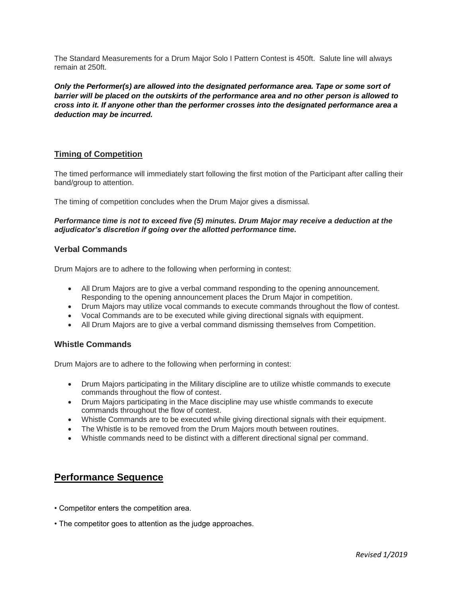The Standard Measurements for a Drum Major Solo I Pattern Contest is 450ft. Salute line will always remain at 250ft.

*Only the Performer(s) are allowed into the designated performance area. Tape or some sort of barrier will be placed on the outskirts of the performance area and no other person is allowed to cross into it. If anyone other than the performer crosses into the designated performance area a deduction may be incurred.*

# **Timing of Competition**

The timed performance will immediately start following the first motion of the Participant after calling their band/group to attention.

The timing of competition concludes when the Drum Major gives a dismissal.

### *Performance time is not to exceed five (5) minutes. Drum Major may receive a deduction at the adjudicator's discretion if going over the allotted performance time.*

### **Verbal Commands**

Drum Majors are to adhere to the following when performing in contest:

- All Drum Majors are to give a verbal command responding to the opening announcement. Responding to the opening announcement places the Drum Major in competition.
- Drum Majors may utilize vocal commands to execute commands throughout the flow of contest.
- Vocal Commands are to be executed while giving directional signals with equipment.
- All Drum Majors are to give a verbal command dismissing themselves from Competition.

# **Whistle Commands**

Drum Majors are to adhere to the following when performing in contest:

- Drum Majors participating in the Military discipline are to utilize whistle commands to execute commands throughout the flow of contest.
- Drum Majors participating in the Mace discipline may use whistle commands to execute commands throughout the flow of contest.
- Whistle Commands are to be executed while giving directional signals with their equipment.
- The Whistle is to be removed from the Drum Majors mouth between routines.
- Whistle commands need to be distinct with a different directional signal per command.

# **Performance Sequence**

- Competitor enters the competition area.
- The competitor goes to attention as the judge approaches.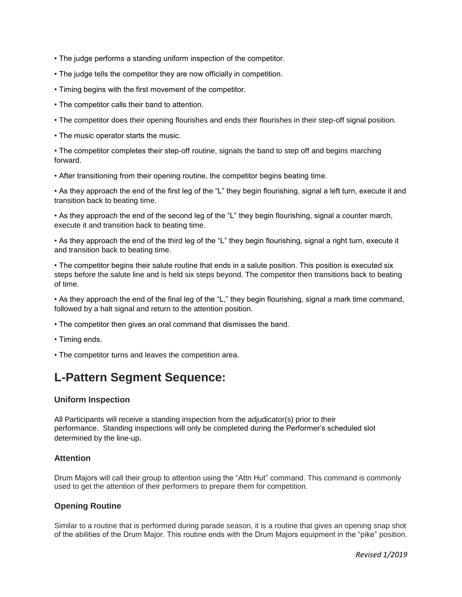- The judge performs a standing uniform inspection of the competitor.
- The judge tells the competitor they are now officially in competition.
- Timing begins with the first movement of the competitor.
- The competitor calls their band to attention.
- The competitor does their opening flourishes and ends their flourishes in their step-off signal position.
- The music operator starts the music.

• The competitor completes their step-off routine, signals the band to step off and begins marching forward.

• After transitioning from their opening routine, the competitor begins beating time.

• As they approach the end of the first leg of the "L" they begin flourishing, signal a left turn, execute it and transition back to beating time.

• As they approach the end of the second leg of the "L" they begin flourishing, signal a counter march, execute it and transition back to beating time.

• As they approach the end of the third leg of the "L" they begin flourishing, signal a right turn, execute it and transition back to beating time.

• The competitor begins their salute routine that ends in a salute position. This position is executed six steps before the salute line and is held six steps beyond. The competitor then transitions back to beating of time.

• As they approach the end of the final leg of the "L," they begin flourishing, signal a mark time command, followed by a halt signal and return to the attention position.

- The competitor then gives an oral command that dismisses the band.
- Timing ends.
- The competitor turns and leaves the competition area.

# **L-Pattern Segment Sequence:**

### **Uniform Inspection**

All Participants will receive a standing inspection from the adjudicator(s) prior to their performance. Standing inspections will only be completed during the Performer's scheduled slot determined by the line-up.

### **Attention**

Drum Majors will call their group to attention using the "Attn Hut" command. This command is commonly used to get the attention of their performers to prepare them for competition.

# **Opening Routine**

Similar to a routine that is performed during parade season, it is a routine that gives an opening snap shot of the abilities of the Drum Major. This routine ends with the Drum Majors equipment in the "pike" position.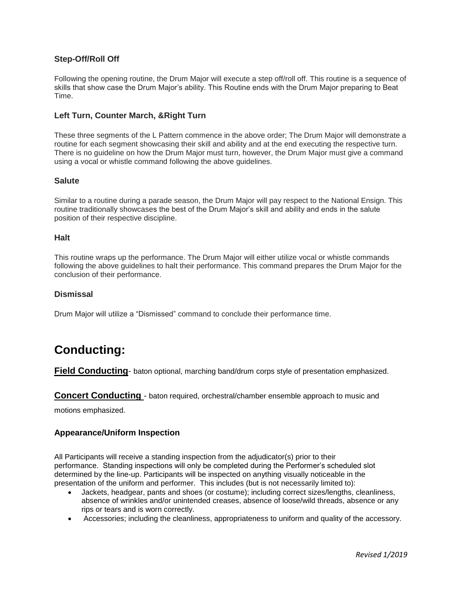# **Step-Off/Roll Off**

Following the opening routine, the Drum Major will execute a step off/roll off. This routine is a sequence of skills that show case the Drum Major's ability. This Routine ends with the Drum Major preparing to Beat Time.

# **Left Turn, Counter March, &Right Turn**

These three segments of the L Pattern commence in the above order; The Drum Major will demonstrate a routine for each segment showcasing their skill and ability and at the end executing the respective turn. There is no guideline on how the Drum Major must turn, however, the Drum Major must give a command using a vocal or whistle command following the above guidelines.

### **Salute**

Similar to a routine during a parade season, the Drum Major will pay respect to the National Ensign. This routine traditionally showcases the best of the Drum Major's skill and ability and ends in the salute position of their respective discipline.

### **Halt**

This routine wraps up the performance. The Drum Major will either utilize vocal or whistle commands following the above guidelines to halt their performance. This command prepares the Drum Major for the conclusion of their performance.

### **Dismissal**

Drum Major will utilize a "Dismissed" command to conclude their performance time.

# **Conducting:**

**Field Conducting**- baton optional, marching band/drum corps style of presentation emphasized.

### **Concert Conducting** - baton required, orchestral/chamber ensemble approach to music and

motions emphasized.

# **Appearance/Uniform Inspection**

All Participants will receive a standing inspection from the adjudicator(s) prior to their performance. Standing inspections will only be completed during the Performer's scheduled slot determined by the line-up. Participants will be inspected on anything visually noticeable in the presentation of the uniform and performer. This includes (but is not necessarily limited to):

- Jackets, headgear, pants and shoes (or costume); including correct sizes/lengths, cleanliness, absence of wrinkles and/or unintended creases, absence of loose/wild threads, absence or any rips or tears and is worn correctly.
- Accessories; including the cleanliness, appropriateness to uniform and quality of the accessory.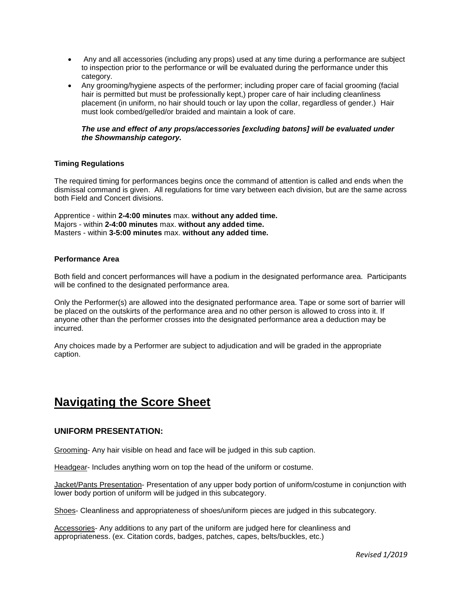- Any and all accessories (including any props) used at any time during a performance are subject to inspection prior to the performance or will be evaluated during the performance under this category.
- Any grooming/hygiene aspects of the performer; including proper care of facial grooming (facial hair is permitted but must be professionally kept,) proper care of hair including cleanliness placement (in uniform, no hair should touch or lay upon the collar, regardless of gender.) Hair must look combed/gelled/or braided and maintain a look of care.

### *The use and effect of any props/accessories [excluding batons] will be evaluated under the Showmanship category.*

### **Timing Regulations**

The required timing for performances begins once the command of attention is called and ends when the dismissal command is given. All regulations for time vary between each division, but are the same across both Field and Concert divisions.

Apprentice - within **2-4:00 minutes** max. **without any added time.** Majors - within **2-4:00 minutes** max. **without any added time.** Masters - within **3-5:00 minutes** max. **without any added time.**

### **Performance Area**

Both field and concert performances will have a podium in the designated performance area. Participants will be confined to the designated performance area.

Only the Performer(s) are allowed into the designated performance area. Tape or some sort of barrier will be placed on the outskirts of the performance area and no other person is allowed to cross into it. If anyone other than the performer crosses into the designated performance area a deduction may be incurred.

Any choices made by a Performer are subject to adjudication and will be graded in the appropriate caption.

# **Navigating the Score Sheet**

# **UNIFORM PRESENTATION:**

Grooming- Any hair visible on head and face will be judged in this sub caption.

Headgear- Includes anything worn on top the head of the uniform or costume.

Jacket/Pants Presentation- Presentation of any upper body portion of uniform/costume in conjunction with lower body portion of uniform will be judged in this subcategory.

Shoes- Cleanliness and appropriateness of shoes/uniform pieces are judged in this subcategory.

Accessories- Any additions to any part of the uniform are judged here for cleanliness and appropriateness. (ex. Citation cords, badges, patches, capes, belts/buckles, etc.)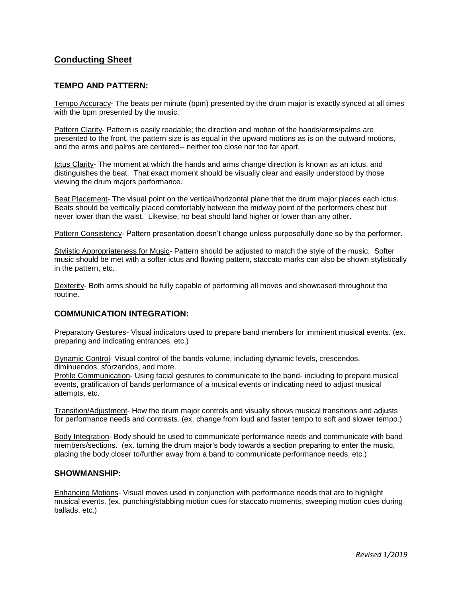# **Conducting Sheet**

# **TEMPO AND PATTERN:**

Tempo Accuracy- The beats per minute (bpm) presented by the drum major is exactly synced at all times with the bpm presented by the music.

Pattern Clarity- Pattern is easily readable; the direction and motion of the hands/arms/palms are presented to the front, the pattern size is as equal in the upward motions as is on the outward motions, and the arms and palms are centered-- neither too close nor too far apart.

Ictus Clarity- The moment at which the hands and arms change direction is known as an ictus, and distinguishes the beat. That exact moment should be visually clear and easily understood by those viewing the drum majors performance.

Beat Placement- The visual point on the vertical/horizontal plane that the drum major places each ictus. Beats should be vertically placed comfortably between the midway point of the performers chest but never lower than the waist. Likewise, no beat should land higher or lower than any other.

Pattern Consistency- Pattern presentation doesn't change unless purposefully done so by the performer.

Stylistic Appropriateness for Music- Pattern should be adjusted to match the style of the music. Softer music should be met with a softer ictus and flowing pattern, staccato marks can also be shown stylistically in the pattern, etc.

Dexterity- Both arms should be fully capable of performing all moves and showcased throughout the routine.

# **COMMUNICATION INTEGRATION:**

Preparatory Gestures- Visual indicators used to prepare band members for imminent musical events. (ex. preparing and indicating entrances, etc.)

Dynamic Control- Visual control of the bands volume, including dynamic levels, crescendos, diminuendos, sforzandos, and more.

Profile Communication- Using facial gestures to communicate to the band- including to prepare musical events, gratification of bands performance of a musical events or indicating need to adjust musical attempts, etc.

Transition/Adjustment- How the drum major controls and visually shows musical transitions and adjusts for performance needs and contrasts. (ex. change from loud and faster tempo to soft and slower tempo.)

Body Integration- Body should be used to communicate performance needs and communicate with band members/sections. (ex. turning the drum major's body towards a section preparing to enter the music, placing the body closer to/further away from a band to communicate performance needs, etc.)

### **SHOWMANSHIP:**

Enhancing Motions- Visual moves used in conjunction with performance needs that are to highlight musical events. (ex. punching/stabbing motion cues for staccato moments, sweeping motion cues during ballads, etc.)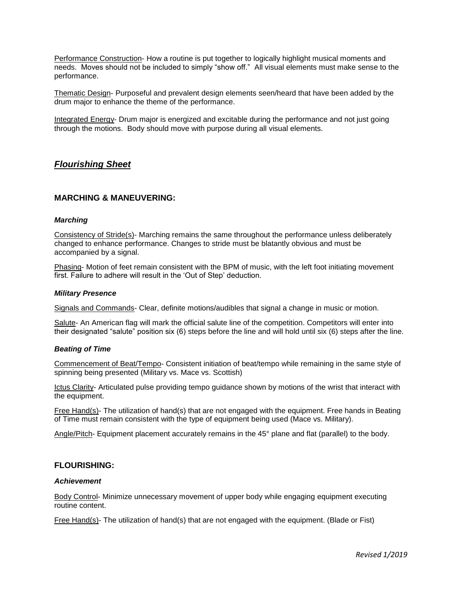Performance Construction- How a routine is put together to logically highlight musical moments and needs. Moves should not be included to simply "show off." All visual elements must make sense to the performance.

Thematic Design- Purposeful and prevalent design elements seen/heard that have been added by the drum major to enhance the theme of the performance.

Integrated Energy- Drum major is energized and excitable during the performance and not just going through the motions. Body should move with purpose during all visual elements.

# *Flourishing Sheet*

### **MARCHING & MANEUVERING:**

#### *Marching*

Consistency of Stride(s)- Marching remains the same throughout the performance unless deliberately changed to enhance performance. Changes to stride must be blatantly obvious and must be accompanied by a signal.

Phasing- Motion of feet remain consistent with the BPM of music, with the left foot initiating movement first. Failure to adhere will result in the 'Out of Step' deduction.

#### *Military Presence*

Signals and Commands- Clear, definite motions/audibles that signal a change in music or motion.

Salute- An American flag will mark the official salute line of the competition. Competitors will enter into their designated "salute" position six (6) steps before the line and will hold until six (6) steps after the line.

#### *Beating of Time*

Commencement of Beat/Tempo- Consistent initiation of beat/tempo while remaining in the same style of spinning being presented (Military vs. Mace vs. Scottish)

Ictus Clarity- Articulated pulse providing tempo guidance shown by motions of the wrist that interact with the equipment.

Free Hand(s)- The utilization of hand(s) that are not engaged with the equipment. Free hands in Beating of Time must remain consistent with the type of equipment being used (Mace vs. Military).

Angle/Pitch- Equipment placement accurately remains in the 45° plane and flat (parallel) to the body.

## **FLOURISHING:**

#### *Achievement*

Body Control- Minimize unnecessary movement of upper body while engaging equipment executing routine content.

Free Hand(s)- The utilization of hand(s) that are not engaged with the equipment. (Blade or Fist)